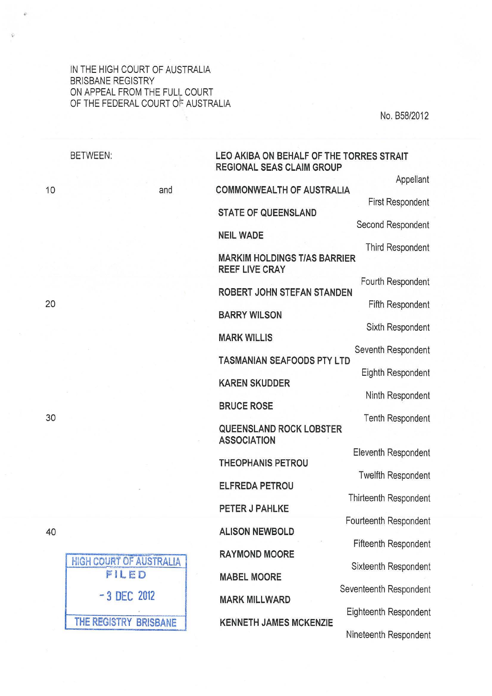### IN THE HIGH COURT OF AUSTRALIA BRISBANE REGISTRY ON APPEAL FROM THE FULL COURT OF THE FEDERAL COURT OF AUSTRALIA

No. B58/2012

| <b>BETWEEN:</b>                | LEO AKIBA ON BEHALF OF THE TORRES STRAIT<br><b>REGIONAL SEAS CLAIM GROUP</b> |
|--------------------------------|------------------------------------------------------------------------------|
| and                            | Appellant<br><b>COMMONWEALTH OF AUSTRALIA</b>                                |
|                                | <b>First Respondent</b><br><b>STATE OF QUEENSLAND</b>                        |
|                                | Second Respondent<br><b>NEIL WADE</b>                                        |
|                                | <b>Third Respondent</b>                                                      |
|                                | <b>MARKIM HOLDINGS T/AS BARRIER</b><br><b>REEF LIVE CRAY</b>                 |
|                                | Fourth Respondent<br>ROBERT JOHN STEFAN STANDEN                              |
|                                | <b>Fifth Respondent</b><br><b>BARRY WILSON</b>                               |
|                                | Sixth Respondent<br><b>MARK WILLIS</b>                                       |
|                                | Seventh Respondent                                                           |
|                                | <b>TASMANIAN SEAFOODS PTY LTD</b><br>Eighth Respondent                       |
|                                | <b>KAREN SKUDDER</b><br>Ninth Respondent                                     |
|                                | <b>BRUCE ROSE</b><br><b>Tenth Respondent</b>                                 |
|                                | <b>QUEENSLAND ROCK LOBSTER</b><br><b>ASSOCIATION</b>                         |
|                                | <b>Eleventh Respondent</b><br><b>THEOPHANIS PETROU</b>                       |
|                                | <b>Twelfth Respondent</b><br><b>ELFREDA PETROU</b>                           |
|                                | <b>Thirteenth Respondent</b>                                                 |
|                                | PETER J PAHLKE<br>Fourteenth Respondent                                      |
|                                | <b>ALISON NEWBOLD</b><br><b>Fifteenth Respondent</b>                         |
| <b>HIGH COURT OF AUSTRALIA</b> | <b>RAYMOND MOORE</b><br>Sixteenth Respondent                                 |
| FILED                          | <b>MABEL MOORE</b>                                                           |
| $-3$ DEC 2012                  | Seventeenth Respondent<br><b>MARK MILLWARD</b>                               |
| THE REGISTRY BRISBANE          | Eighteenth Respondent<br><b>KENNETH JAMES MCKENZIE</b>                       |
|                                | Nineteenth Respondent                                                        |

20

10

30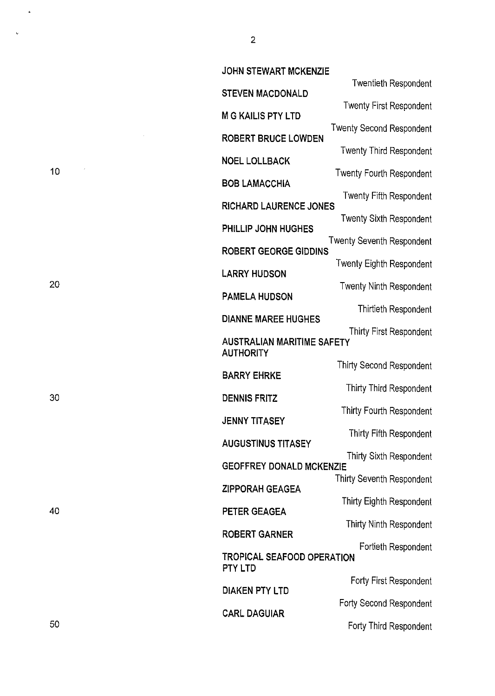| <b>JOHN STEWART MCKENZIE</b>                 |                                 |  |
|----------------------------------------------|---------------------------------|--|
| <b>STEVEN MACDONALD</b>                      | <b>Twentieth Respondent</b>     |  |
| <b>M G KAILIS PTY LTD</b>                    | <b>Twenty First Respondent</b>  |  |
| <b>ROBERT BRUCE LOWDEN</b>                   | <b>Twenty Second Respondent</b> |  |
|                                              | <b>Twenty Third Respondent</b>  |  |
| <b>NOEL LOLLBACK</b>                         | Twenty Fourth Respondent        |  |
| <b>BOB LAMACCHIA</b>                         | Twenty Fifth Respondent         |  |
| <b>RICHARD LAURENCE JONES</b>                | <b>Twenty Sixth Respondent</b>  |  |
| PHILLIP JOHN HUGHES                          | Twenty Seventh Respondent       |  |
| <b>ROBERT GEORGE GIDDINS</b>                 |                                 |  |
| <b>LARRY HUDSON</b>                          | Twenty Eighth Respondent        |  |
| <b>PAMELA HUDSON</b>                         | <b>Twenty Ninth Respondent</b>  |  |
| <b>DIANNE MAREE HUGHES</b>                   | Thirtieth Respondent            |  |
| <b>AUSTRALIAN MARITIME SAFETY</b>            | Thirty First Respondent         |  |
| <b>AUTHORITY</b>                             |                                 |  |
| <b>BARRY EHRKE</b>                           | Thirty Second Respondent        |  |
| <b>DENNIS FRITZ</b>                          | Thirty Third Respondent         |  |
| <b>JENNY TITASEY</b>                         | Thirty Fourth Respondent        |  |
| <b>AUGUSTINUS TITASEY</b>                    | Thirty Fifth Respondent         |  |
| <b>GEOFFREY DONALD MCKENZIE</b>              | Thirty Sixth Respondent         |  |
| <b>ZIPPORAH GEAGEA</b>                       | Thirty Seventh Respondent       |  |
|                                              | Thirty Eighth Respondent        |  |
| PETER GEAGEA                                 | Thirty Ninth Respondent         |  |
| <b>ROBERT GARNER</b>                         | Fortieth Respondent             |  |
| TROPICAL SEAFOOD OPERATION<br><b>PTY LTD</b> |                                 |  |
| <b>DIAKEN PTY LTD</b>                        | Forty First Respondent          |  |
|                                              | Forty Second Respondent         |  |
| <b>CARL DAGUIAR</b>                          | Forty Third Respondent          |  |

20

30

10

 $\bar{\beta}$ 

 $\ddot{\phantom{1}}$ 

 $\ddot{\psi}$ 

40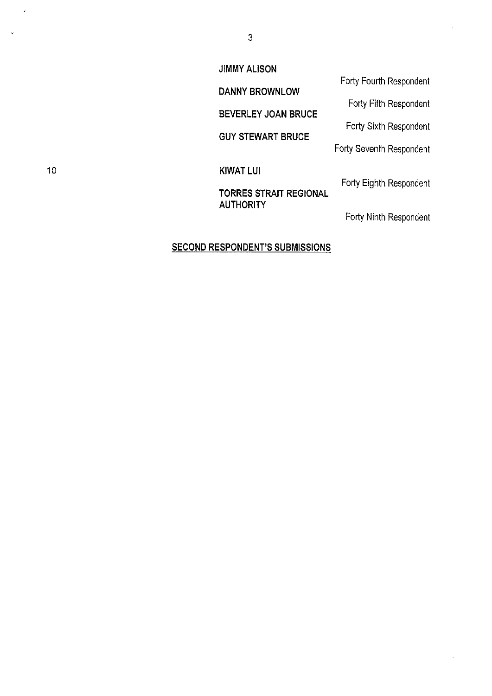### **JIMMY ALISON**

**DANNY BROWNLOW** 

**BEVERLEY JOAN BRUCE** 

**GUY STEWART BRUCE** 

10 **KIWAT LUI** 

## **TORRES STRAIT REGIONAL AUTHORITY**

Forty Fourth Respondent

Forty Fifth Respondent

Forty Sixth Respondent

Forty Seventh Respondent

Forty Eighth Respondent

Forty Ninth Respondent

### **SECOND RESPONDENT'S SUBMISSIONS**

 $\mathbf{r}$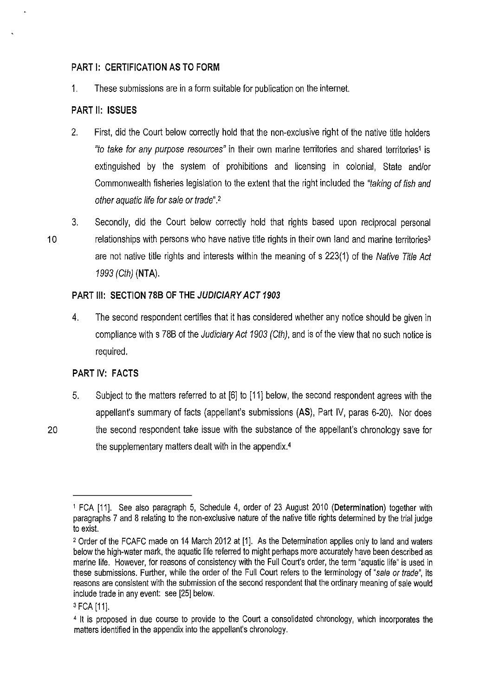### **PART 1: CERTIFICATION AS TO FORM**

1. These submissions are in a form suitable for publication on the internet.

### **PART II: ISSUES**

- 2. First, did the Court below correctly hold that the non-exclusive right of the native title holders "to take for any purpose resources" in their own marine territories and shared territories1 is extinguished by the system of prohibitions and licensing in colonial, State and/or Commonwealth fisheries legislation to the extent that the right included the "taking of fish and other aquatic life for sale or trade".2
- 3. Secondly, did the Court below correctly hold that rights based upon reciprocal personal 10 relationships with persons who have native title rights in their own land and marine territories<sup>3</sup> are not native title rights and interests within the meaning of s 223(1) of the Native Title Act 1993 (Cth) **(NTA).**

### **PART Ill: SECTION 78B OF THE JUDICIARY ACT 1903**

4. The second respondent certifies that it has considered whether any notice should be given in compliance with s 788 of the Judiciary Act 1903 (Cth), and is of the view that no such notice is required.

### **PART IV: FACTS**

- 5. Subject to the matters referred to at [6] to [11] below, the second respondent agrees with the appellant's summary of facts (appellant's submissions **(AS),** Part IV, paras 6-20). Nor does
- 20 the second respondent take issue with the substance of the appellant's chronology save for the supplementary matters dealt with in the appendix.4

<sup>1</sup> FCA [11]. See also paragraph 5, Schedule 4, order of 23 August 2010 **(Determination)** together with paragraphs 7 and 8 relating to the non-exclusive nature of the native title rights determined by the trial judge to exist.

<sup>2</sup> Order of the FCAFC made on 14 March 2012 at [1]. As the Determination applies only to land and waters below the high-water mark, the aquatic life referred to might perhaps more accurately have been described as marine life. However, for reasons of consistency with the Full Court's order, the term "aquatic life" is used in these submissions. Further, while the order of the Full Court refers to the terminology of "sale or trade", its reasons are consistent with the submission of the second respondent that the ordinary meaning of sale would include trade in any event: see [25] below.

<sup>3</sup> FCA [11].

<sup>4</sup>It is proposed in due course to provide to the Court a consolidated chronology, which incorporates the matters identified in the appendix into the appellant's chronology.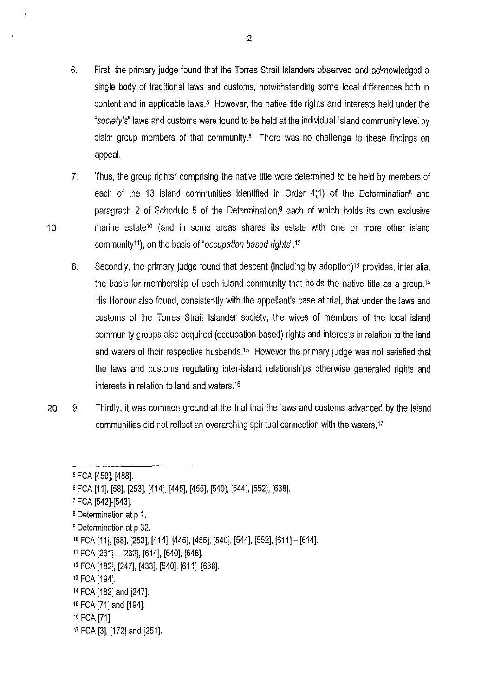- 6. First, the primary judge found that the Torres Strait Islanders observed and acknowledged a single body of traditional laws and customs, notwithstanding some local differences both in content and in applicable laws.<sup>5</sup> However, the native title rights and interests held under the "society's" laws and customs were found to be held at the individual island community level by claim group members of that community.<sup>6</sup> There was no challenge to these findings on appeal.
- 7. Thus, the group rights? comprising the native title were determined to be held by members of each of the 13 island communities identified in Order 4(1) of the Determination<sup>8</sup> and paragraph 2 of Schedule 5 of the Determination,<sup>9</sup> each of which holds its own exclusive 10 marine estate1o (and in some areas shares its estate with one or more other island community<sup>11</sup>), on the basis of "occupation based rights".<sup>12</sup>
	- 8. Secondly, the primary judge found that descent (including by adoption)13 provides, inter alia, the basis for membership of each island community that holds the native title as a group.14 His Honour also found, consistently with the appellant's case at trial, that under the laws and customs of the Torres Strait Islander society, the wives of members of the local island community groups also acquired (occupation based) rights and interests in relation to the land and waters of their respective husbands.<sup>15</sup> However the primary judge was not satisfied that the laws and customs regulating inter-island relationships otherwise generated rights and interests in relation to land and waters.16
- 20 9. Thirdly, it was common ground at the trial that the laws and customs advanced by the Island communities did not reflect an overarching spiritual connection with the waters.<sup>17</sup>

- <sup>9</sup> Determination at p 32.
- 1o FCA [11], [58], [253], [414], [445], [455], [540], [544], [552], [611]- [614].
- 11 FCA [261]- [262], [614], [640], [648].
- <sup>12</sup>FCA [182], [247], [433], [540], [611], [638].
- 13 FCA [194].

- <sup>16</sup>FCA [71].
- 17 FCA [3], [172] and [251].

<sup>5</sup> FCA [450], [488].

<sup>6</sup> FCA [11], (58], [253], [414], [445], [455], [540], [544], [552], [638].

<sup>7</sup> FCA [542]-[543].

a Determination at p 1.

<sup>14</sup>FCA [182] and [247].

<sup>15</sup>FCA [71] and [194].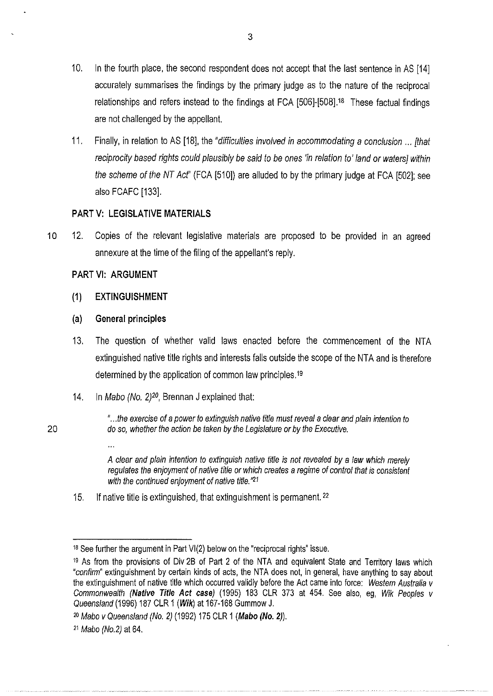- 10. In the fourth place, the second respondent does not accept that the last sentence in AS [14] accurately summarises the findings by the primary judge as to the nature of the reciprocal relationships and refers instead to the findings at FCA [506]-[508].<sup>18</sup> These factual findings are not challenged by the appellant.
- 11. Finally, in relation to AS [18], the "difficulties involved in accommodating a conclusion ... [that reciprocity based rights could plausibly be said to be ones 'in relation to' land or waters] within the scheme of the NT Act" (FCA [510]) are alluded to by the primary judge at FCA [502]; see also FCAFC [133].

## **PARTV: LEGISLATIVE MATERIALS**

10 12. Copies of the relevant legislative materials are proposed to be provided in an agreed annexure at the time of the filing of the appellant's reply.

## **PART** VI: **ARGUMENT**

## **(1) EXTINGUISHMENT**

## **(a) General principles**

 $\dddot{\phantom{0}}$ 

- 13. The question of whether valid laws enacted before the commencement of the NTA extinguished native title rights and interests falls outside the scope of the NTA and is therefore determined by the application of common law principles. <sup>19</sup>
- 14. In Mabo (No. *2)20,* Brennan *J* explained that:
- " ... the exercise of a power to extinguish native title must reveal a clear and plain intention to 20 do so, whether the action be taken by the Legislature or by the Executive.

A clear and plain intention to extinguish native title is not revealed by a law which merely regulates the enjoyment of native title or which creates a regime of control that is consistent with the continued enjoyment of native title. $"21"$ 

15. If native title is extinguished, that extinguishment is permanent. <sup>22</sup>

 $18$  See further the argument in Part VI(2) below on the "reciprocal rights" issue.

<sup>19</sup> As from the provisions of Div 2B of Part 2 of the NTA and equivalent State and Territory laws which "confirm" extinguishment by certain kinds of acts, the NTA does not, in general, have anything to say about the extinguishment of native title which occurred validly before the Act came into force: Western Australia v Commonwealth **(Native Title Act case)** (1995) 183 CLR 373 at 454. See also, eg, Wik Peoples v Queensland (1996) 187 CLR 1 **(Wik)** at 167-168 Gummow J.

<sup>2</sup>o Mabo v Queensland (No. 2) (1992) 175 CLR 1 **(Mabo (No.2)).** 

<sup>21</sup> Mabo (No.2) at 64.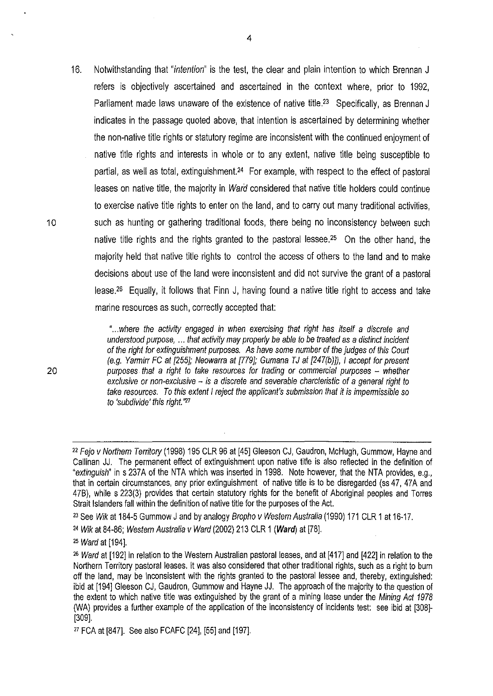16. Notwithstanding that "intention" is the test, the clear and plain intention to which Brennan J refers is objectively ascertained and ascertained in the context where, prior to 1992, Parliament made laws unaware of the existence of native title.<sup>23</sup> Specifically, as Brennan J indicates in the passage quoted above, that intention is ascertained by determining whether the non-native title rights or statutory regime are inconsistent with the continued enjoyment of native title rights and interests in whole or to any extent, native title being susceptible to partial, as well as total, extinguishment.<sup>24</sup> For example, with respect to the effect of pastoral leases on native title, the majority in *Ward* considered that native title holders could continue to exercise native title rights to enter on the land, and to carry out many traditional activities, 10 such as hunting or gathering traditional foods, there being no inconsistency between such native title rights and the rights granted to the pastoral lessee.<sup>25</sup> On the other hand, the majority held that native title rights to control the access of others to the land and to make decisions about use of the land were inconsistent and did not survive the grant of a pastoral lease26 Equally, it follows that Finn J, having found a native title right to access and take marine resources as such, correctly accepted that:

> "... where the activity engaged in when exercising that right has itself a discrete and understood purpose, ... that activity may properly be able to be treated as a distinct incident of the right for extinguishment purposes. As have some number of the judges of this Court (e.g. Yarmirr FC at [255]; Neowarra at [179]; Gumana TJ at [247(b)]), I accept for present purposes that a right to take resources for trading or commercial purposes - whether exclusive or non-exclusive - is a discrete and severable charcteristic of a general right to take resources. To this extent I reject the applicant's submission that it is impermissible so to 'subdivide' this right."27

23 See Wik at 184-5 Gummow J and by analogy Bropho *v* Westem Australia (1990) 171 CLR 1 at 16-17.

<sup>&</sup>lt;sup>22</sup> Fejo v Northern Territory (1998) 195 CLR 96 at [45] Gleeson CJ, Gaudron, McHugh, Gummow, Hayne and Callinan JJ. The permanent effect of extinguishment upon native title is also reflected in the definition of "extinguish" in s 237A of the NTA which was inserted in 1998. Note however, that the NTA provides, e.g., that in certain circumstances, any prior extinguishment of native title is to be disregarded (ss 47, 47A and 478), while s 223(3) provides that certain statutory rights for the benefit of Aboriginal peoples and Torres Strait Islanders fall within the definition of native title for the purposes of the Act.

<sup>24</sup>Wik at 84-86; Westem Australia v Ward (2002) 213 CLR 1 **(Ward)** at [78].

<sup>&</sup>lt;sup>25</sup> Ward at [194].

<sup>2</sup>s Ward at [192] in relation to the Western Australian pastoral leases, and at [417] and [422] in relation to the Northern Territory pastoral leases. It was also considered that other traditional rights, such as a right to burn off the land, may be inconsistent with the rights granted to the pastoral lessee and, thereby, extinguished: ibid at [194] Gleeson CJ, Gaudron, Gummow and Hayne JJ. The approach of the majority to the question of the extent to which native title was extinguished by the grant of a mining lease under the Mining Act 1978 (WA) provides a further example of the application of the inconsistency of incidents test: see ibid at [308]- [309].

<sup>27</sup> FCA at [847]. See also FCAFC [24], [55] and [197].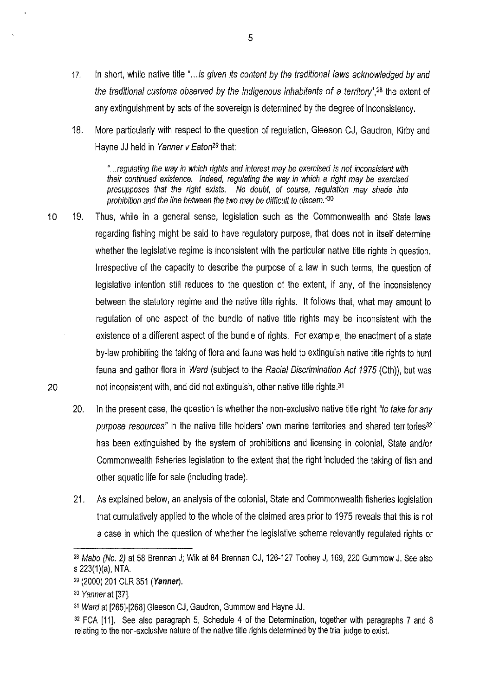- 17. In short, while native title "... is given its content by the traditional laws acknowledged by and the traditional customs observed by the indigenous inhabitants of a territory",<sup>28</sup> the extent of any extinguishment by acts of the sovereign is determined by the degree of inconsistency.
- 18. More particularly with respect to the question of regulation, Gleeson CJ, Gaudron, Kirby and Hayne JJ held in Yanner v Eaton<sup>29</sup> that:

"... regulating the way in which rights and interest may be exercised is not inconsistent with their continued existence. Indeed, regulating the way in which a right may be exercised presupposes that the right exists. No doubt, of course, regulation may shade into prohibition and the line between the two may be difficult to discern. $^{\prime\prime 30}$ 

- 10 19. Thus, while in a general sense, legislation such as the Commonwealth and State laws regarding fishing might be said to have regulatory purpose, that does not in itself determine whether the legislative regime is inconsistent with the particular native title rights in question. Irrespective of the capacity to describe the purpose of a law in such terms, the question of legislative intention still reduces to the question of the extent, if any, of the inconsistency between the statutory regime and the native title rights. It follows that, what may amount to regulation of one aspect of the bundle of native title rights may be inconsistent with the existence of a different aspect of the bundle of rights. For example, the enactment of a state by-law prohibiting the taking of flora and fauna was held to extinguish native title rights to hunt fauna and gather flora in Ward (subject to the Racial Discrimination Act 1975 (Cth)), but was 20 not inconsistent with, and did not extinguish, other native title rights.31
	- 20. In the present case, the question is whether the non-exclusive native title right "to take for any purpose resources" in the native title holders' own marine territories and shared territories<sup>32</sup> has been extinguished by the system of prohibitions and licensing in colonial, State and/or Commonwealth fisheries legislation to the extent that the right included the taking of fish and other aquatic life for sale (including trade).
	- 21. As explained below, an analysis of the colonial, State and Commonwealth fisheries legislation that cumulatively applied to the whole of the claimed area prior to 1975 reveals that this is not a case in which the question of whether the legislative scheme relevantly regulated rights or

<sup>2</sup>s Mabo (No.2) at 58 Brennan J; Wik at 84 Brennan CJ, 126-127 Toohey J, 169, 220 Gummow J. See also s  $223(1)(a)$ , NTA.

<sup>29</sup>(2000) 201 CLR 351 **(Yanner).** 

<sup>&</sup>lt;sup>30</sup> Yanner at [37].

<sup>31</sup>Ward at [265]-[268] Gleeson CJ, Gaudron, Gummow and Hayne JJ.

<sup>32</sup> FCA [11]. See also paragraph 5, Schedule 4 of the Determination, together with paragraphs 7 and 8 relating to the non-exclusive nature of the native title rights determined by the trial judge to exist.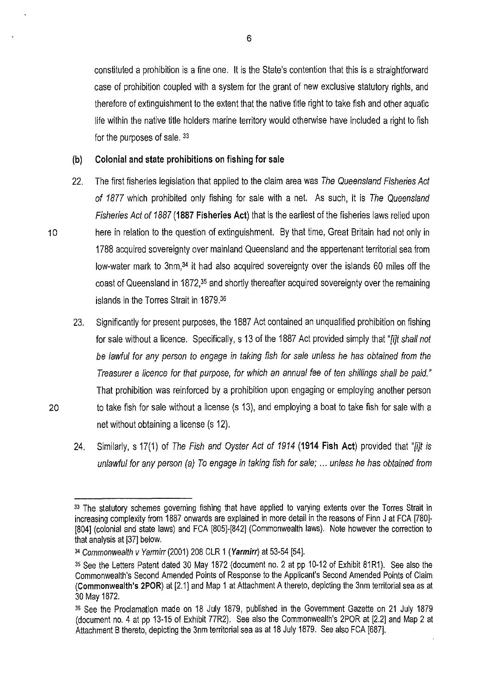constituted a prohibition is a fine one. It is the State's contention that this is a straightforward case of prohibition coupled with a system for the grant of new exclusive statutory rights, and therefore of extinguishment to the extent that the native title right to take fish and other aquatic life within the native title holders marine territory would otherwise have included a right to fish for the purposes of sale. 33

#### **(b) Colonial and state prohibitions on fishing for sale**

- 22. The first fisheries legislation that applied to the claim area was The Queensland Fisheries Act of 1877 which prohibited only fishing for sale with a net. As such, it is The Queensland Fisheries Act of 1887 **(1887 Fisheries Act)** that is the earliest of the fisheries laws relied upon 10 here in relation to the question of extinguishment. By that time, Great Britain had not only in 1788 acquired sovereignty over mainland Queensland and the appertenant territorial sea from low-water mark to 3nm,34 it had also acquired sovereignty over the islands 60 miles off the coast of Queensland in 1872,35 and shortly thereafter acquired sovereignty over the remaining islands in the Torres Strait in 1879.35
- 23. Significantly for present purposes, the 1887 Act contained an unqualified prohibition on fishing for sale without a licence. Specifically, s 13 of the 1887 Act provided simply that "*filt shall not* be lawful for any person to engage in taking fish for sale unless he has obtained from the Treasurer a licence for that purpose, for which an annual fee of ten shillings shall be paid." That prohibition was reinforced by a prohibition upon engaging or employing another person 20 to take fish for sale without a license (s 13), and employing a boat to take fish for sale with a net without obtaining a license (s 12).
	- 24. Similarly, s 17(1) of The Fish and Oyster Act of 1914 **(1914 Fish Act)** provided that "[i]t is unlawful for any person (a) To engage in taking fish for sale; ... unless he has obtained from

<sup>33</sup> The statutory schemes governing fishing that have applied to varying extents over the Torres Strait in increasing complexity from 1887 onwards are explained in more detail in the reasons of Finn J at FCA [780]- [804] (colonial and state laws) and FCA [805]-[842] (Commonwealth laws). Note however the correction to that analysis at [37] below.

<sup>34</sup>Commonwealth v Yarmirr(2001) 208 CLR 1 **(Yarmirr)** at 53-54 [54].

<sup>3</sup>s See the Letters Patent dated 30 May 1872 (document no. 2 at pp 10-12 of Exhibit 81R1). See also the Commonwealth's Second Amended Points of Response to the Applicant's Second Amended Points of Claim **(Commonwealth's 2POR)** at [2.1] and Map 1 at Attachment A thereto, depicting the 3nm territorial sea as at 30 May 1872.

<sup>&</sup>lt;sup>36</sup> See the Proclamation made on 18 July 1879, published in the Government Gazette on 21 July 1879 (document no. 4 at pp 13-15 of Exhibit 77R2). See also the Commonwealth's 2POR at [2.2] and Map 2 at Attachment B thereto, depicting the 3nm territorial sea as at 18 July 1879. See also FCA [687].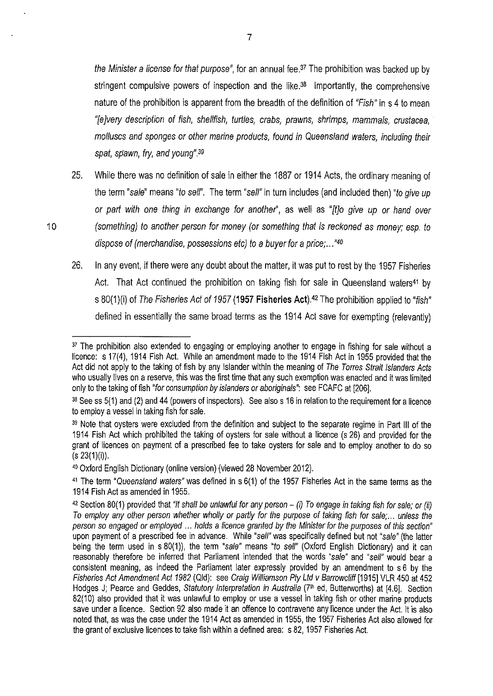the Minister a license for that purpose", for an annual fee.<sup>37</sup> The prohibition was backed up by stringent compulsive powers of inspection and the like. $38$  Importantly, the comprehensive nature of the prohibition is apparent from the breadth of the definition of "Fish" in s 4 to mean "[e]very description of fish, shellfish, turtles, crabs, prawns, shrimps, mammals, crustacea, molluscs and sponges or other marine products, found in Queensland waters, including their spat, spawn, fry, and young".<sup>39</sup>

- 25. While there was no definition of sale in either the 1887 or 1914 Acts, the ordinary meaning of the term "sale" means "to sell". The term "sell" in turn includes (and included then) "to give up or part with one thing in exchange for another", as well as "[t]o give up or hand over 10 (something) to another person for money (or something that is reckoned as money; esp. to dispose of (merchandise, possessions etc) to a buyer for a price; ... *"4°* 
	- 26. In any event, if there were any doubt about the matter, it was put to rest by the 1957 Fisheries Act. That Act continued the prohibition on taking fish for sale in Queensland waters<sup>41</sup> by s 80(1)(i) of The Fisheries Act of *1957* **(1957 Fisheries Act).42** The prohibition applied to "fish" defined in essentially the same broad terms as the 1914 Act save for exempting (relevantly)

<sup>&</sup>lt;sup>37</sup> The prohibition also extended to engaging or employing another to engage in fishing for sale without a licence: s 17(4), 1914 Fish Act. While an amendment made to the 1914 Fish Act in 1955 provided that the Act did not apply to the taking of fish by any Islander within the meaning of The Torres Strait Islanders Acts who usually lives on a reserve, this was the first time that any such exemption was enacted and it was limited only to the taking of fish "for consumption by islanders or aboriginals": see FCAFC at [206].

<sup>38</sup> See ss 5(1) and (2) and 44 (powers of inspectors). See also s 16 in relation to the requirement for a licence to employ a vessel in taking fish for sale.

<sup>&</sup>lt;sup>39</sup> Note that oysters were excluded from the definition and subject to the separate regime in Part III of the 1914 Fish Act which prohibited the taking of oysters for sale without a licence (s 26) and provided for the grant of licences on payment of a prescribed fee to take oysters for sale and to employ another to do so  $(s 23(1)(i))$ .

<sup>4</sup>o Oxford English Dictionary (online version) (viewed 28 November 2012).

<sup>&</sup>lt;sup>41</sup> The term "Queensland waters" was defined in s 6(1) of the 1957 Fisheries Act in the same terms as the 1914 Fish Act as amended in 1955.

<sup>42</sup>Section 80(1) provided that "It shall be unlawful for any person- (i) To engage in taking fish for sale; or *(ii)*  To employ any other person whether wholly or partly for the purpose of taking fish for sale; ... unless the person so engaged or employed ... holds a licence granted by the Minister for the purposes of this section" upon payment of a prescribed fee in advance. While "sell" was specifically defined but not "sale" (the latter being the term used in s 80(1)), the term "sale" means "to sell" (Oxford English Dictionary) and it can reasonably therefore be inferred that Parliament intended that the words "sale" and "sell" would bear a consistent meaning, as indeed the Parliament later expressly provided by an amendment to s 6 by the Fisheries Act Amendment Act *1982* (Qid): see Craig Williamson Pty Ltd v Barrowc/iff [1915] VLR 450 at 452 Hodges J; Pearce and Geddes, Statutory Interpretation in Australia (7<sup>th</sup> ed, Butterworths) at [4.6]. Section 82(10) also provided that it was unlawful to employ or use a vessel in taking fish or other marine products save under a licence. Section 92 also made it an offence to contravene any licence under the Act. It is also noted that, as was the case under the 1914 Act as amended in 1955, the 1957 Fisheries Act also allowed for the grant of exclusive licences to take fish within a defined area: s 82, 1957 Fisheries Act.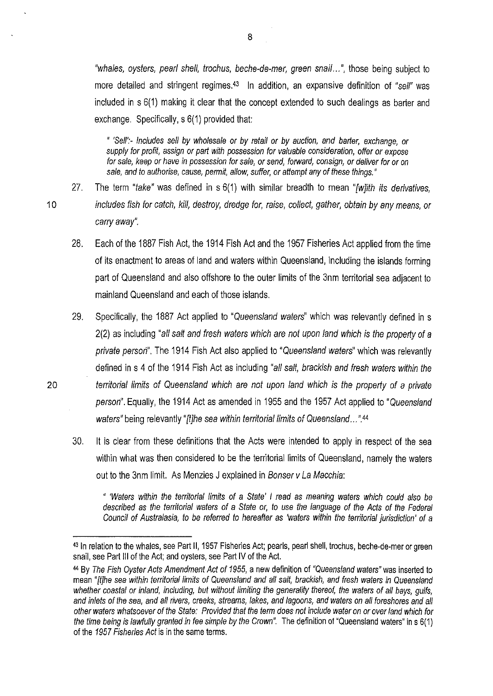"whales, oysters, pearl shell, trochus, beche-de-mer, green snail...", those being subject to more detailed and stringent regimes.<sup>43</sup> In addition, an expansive definition of "sell" was included in s 6(1) making it clear that the concept extended to such dealings as barter and exchange. Specifically, s 6(1) provided that:

" 'Self':- Includes sell by wholesale or by retail or by auction, and barter, exchange, or supply for profit, assign or part with possession for valuable consideration, offer or expose for sale, keep or have in possession for sale, or send, forward, consign, or deliver for or on sale, and to authorise, cause, permit, allow, suffer, or attempt any of these things."

- 27. The term "take" was defined in s 6(1) with similar breadth to mean "[w]ith its derivatives, 10 includes fish for catch, kill, destroy, dredge for, raise, collect, gather, obtain by any means, or carry away".
	- 28. Each of the 1887 Fish Act, the 1914 Fish Act and the 1957 Fisheries Act applied from the time of its enactment to areas of land and waters within Queensland, including the islands forming part of Queensland and also offshore to the outer limits of the 3nm territorial sea adjacent to mainland Queensland and each of those islands.
- 29. Specifically, the 1887 Act applied to "Queensland waters" which was relevantly defined in s  $2(2)$  as including "all salt and fresh waters which are not upon land which is the property of a private person". The 1914 Fish Act also applied to "Queensland waters" which was relevantly defined in s 4 of the 1914 Fish Act as including "all salt, brackish and fresh waters within the 20 territorial limits of Queensland which are not upon land which is the property of a private person". Equally, the 1914 Act as amended in 1955 and the 1957 Act applied to "Queensland waters" being relevantly "[t]he sea within territorial limits of Queensland...".44
	- 30. It is clear from these definitions that the Acts were intended to apply in respect of the sea within what was then considered to be the territorial limits of Queensland, namely the waters out to the 3nm limit. As Menzies J explained in Bonser v La Macchia:

" 'Waters within the territorial limits of a State' I read as meaning waters which could also be described as the territorial waters of a State or, to use the language of the Acts of the Federal Council of Australasia, to be referred to hereafter as 'waters within the territorial jurisdiction' of a

<sup>43</sup> In relation to the whales, see Part II, 1957 Fisheries Act; pearls, pearl shell, trochus, beche-de-mer or green snail, see Part Ill of the Act; and oysters, see Part IV of the Act.

<sup>44</sup>By The Fish Oyster Acts Amendment Act of 1955, a new definition of "Queensland waters" was inserted to mean "[t]he sea within territorial limits of Queensland and all salt, brackish, and fresh waters in Queensland whether coastal or inland, including, but without limiting the generality thereof, the waters of all bays, gulfs, and inlets of the sea, and all rivers, creeks, streams, lakes, and lagoons, and waters on all foreshores and all other waters whatsoever of the State: Provided that the term does not include water on or over land which for the time being is lawfully granted in fee simple by the Crown". The definition of "Queensland waters" in s 6(1) of the 1957 Fisheries Act is in the same terms.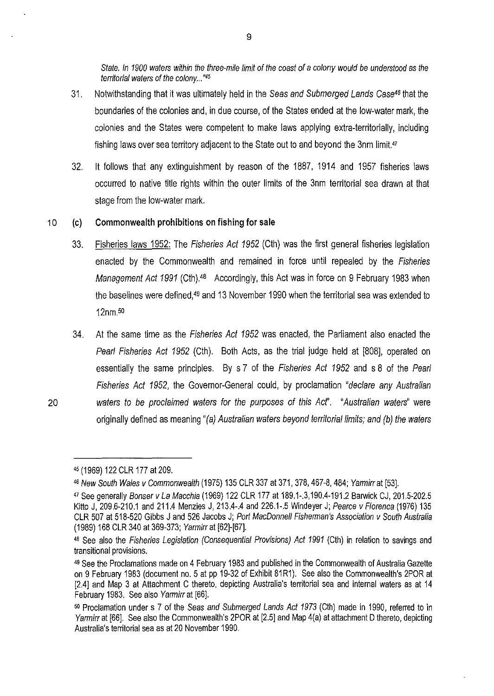State. In 1900 waters within the three-mile limit of the coast of a colony would be understood as the territorial waters of the colony...<sup>"45</sup>

- 31. Notwithstanding that it was ultimately held in the Seas and Submerged Lands Case<sup>46</sup> that the boundaries of the colonies and, in due course, of the States ended at the low-water mark, the colonies and the States were competent to make laws applying extra-territorially, including fishing laws over sea territory adjacent to the State out to and beyond the 3nm limit.<sup>47</sup>
- 32. It follows that any extinguishment by reason of the 1887, 1914 and 1957 fisheries laws occurred to native title rights within the outer limits of the 3nm territorial sea drawn at that stage from the low-water mark.

#### 10 (c) **Commonwealth prohibitions on fishing for sale**

- 33. Fisheries laws 1952: The Fisheries Act 1952 (Cth) was the first general fisheries legislation enacted by the Commonwealth and remained in force until repealed by the Fisheries Management Act 1991 (Cth).<sup>48</sup> Accordingly, this Act was in force on 9 February 1983 when the baselines were defined,49 and 13 November 1990 when the territorial sea was extended to 12nm.so
- 34. At the same time as the Fisheries Act 1952 was enacted, the Parliament also enacted the Pearl Fisheries Act 1952 (Cth). Both Acts, as the trial judge held at [808], operated on essentially the same principles. By s 7 of the Fisheries Act 1952 and s 8 of the Pearl Fisheries Act 1952, the Governor-General could, by proclamation "declare any Australian 20 waters to be proclaimed waters for the purposes of this Acr'. "Australian waters" were originally defined as meaning "(a) Australian waters beyond territorial limits; and (b) the waters

<sup>4</sup>s (1969) 122 CLR 177 at 209.

<sup>46</sup> New South Wales v Commonwealth (1975) 135 CLR 337 at 371, 378, 467-8, 484; Yarmirr at [53].

<sup>47</sup>See generally Bonser v La Macchia (1969) 122 CLR 177 at 189.1-.3,190.4-191.2 Barwick CJ, 201.5-202.5 Kitto J, 209.6-210.1 and 211.4 Menzies J, 213.4-.4 and 226.1-.5 Windeyer J; Pearce v Florenca (1976) 135 CLR 507 at 518-520 Gibbs J and 526 Jacobs J; Port MacDonnell Fishennan's Association v South Australia (1989) 168 CLR 340 at 369-373; Yarmirrat [62]-[67].

<sup>48</sup> See also the Fisheries Legislation (Consequential Provisions) Act 1991 (Cth) in relation to savings and transitional provisions.

<sup>49</sup>See the Proclamations made on 4 February 1983 and published in the Commonwealth of Australia Gazette on 9 February 1983 (document no. 5 at pp 19-32 of Exhibit 81R1). See also the Commonwealth's 2POR at [2.4] and Map 3 at Attachment C thereto, depicting Australia's territorial sea and internal waters as at 14 February 1983. See also Yarmirr at [66].

<sup>50</sup> Proclamation under s 7 of the Seas and Submerged Lands Act 1973 (Cth) made in 1990, referred to in Yarmirr at [66]. See also the Commonwealth's 2POR at [2.5] and Map 4(a) at attachment D thereto, depicting Australia's territorial sea as at 20 November 1990.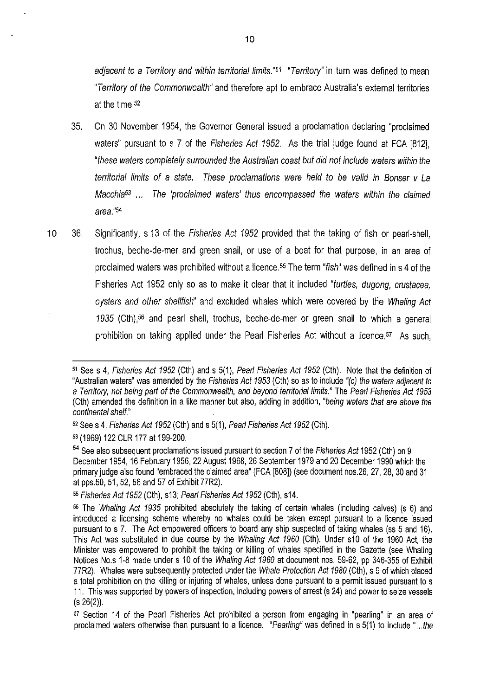adiacent to a Territory and within territorial limits."<sup>51</sup> "Territory" in turn was defined to mean "Territory of the Commonwealth" and therefore apt to embrace Australia's external territories at the time  $52$ 

- 35. On 30 November 1954, the Governor General issued a proclamation declaring "proclaimed waters" pursuant to s 7 of the Fisheries Act 1952. As the trial judge found at FCA [812], "these waters completely surrounded the Australian coast but did not include waters within the territorial limits of a state. These proclamations were held to be valid in Bonser v La Macchia<sup>53</sup> ... The 'proclaimed waters' thus encompassed the waters within the claimed area."54
- 10 36. Significantly, s 13 of the Fisheries Act 1952 provided that the taking of fish or pearl-shell, trochus, beche-de-mer and green snail, or use of a boat for that purpose, in an area of proclaimed waters was prohibited without a licence.<sup>55</sup> The term "*fish*" was defined in s 4 of the Fisheries Act 1952 only so as to make it clear that it included "turtles, dugong, crustacea, oysters and other shellfish" and excluded whales which were covered by the Whaling Act 1935 (Cth),56 and pearl shell, trochus, beche-de-mer or green snail to which a general prohibition on taking applied under the Pearl Fisheries Act without a licence.<sup>57</sup> As such,

<sup>51</sup> See s 4, Fisheries Act 1952 (Cth) and s 5(1), Pearl Fisheries Act 1952 (Cth). Note that the definition of "Australian waters" was amended by the Fisheries Act 1953 (Cth) so as to include "(c) the waters adjacent to a Territory, not being part of the Commonwealth, and beyond territorial limits." The Pearl Fisheries Act 1953 (Cth) amended the definition in a like manner but also, adding in addition, "being waters that are above the continental shelf."

<sup>52</sup> Sees 4, Fisheries Act 1952 (Cth) and s 5(1), Pearl Fisheries Act 1952 (Cth).

<sup>53</sup> (1969) 122 CLR 177 at 199-200.

<sup>54</sup> See also subsequent proclamations issued pursuant to section 7 of the Fisheries Act 1952 (Cth) on 9 December 1954, 16 February 1956,22 August 1968,26 September 1979 and 20 December 1990 which the primary judge also found "embraced the claimed area" (FCA [808]) (see document nos.26, 27, 28, 30 and 31 at pps.50, 51, 52, 56 and 57 of Exhibit 77R2).

<sup>55</sup>Fisheries Act 1952 (Cth), s13; Pearl Fisheries Act 1952 (Cth), s14.

<sup>56</sup>The Whaling Act 1935 prohibited absolutely the taking of certain whales (including calves) (s 6) and introduced a licensing scheme whereby no whales could be taken except pursuant to a licence issued pursuant to s 7. The Act empowered officers to board any ship suspected of taking whales (ss 5 and 16). This Act was substituted in due course by the Whaling Act 1960 (Cth). Under s10 of the 1960 Act, the Minister was empowered to prohibit the taking or killing of whales specified in the Gazette (see Whaling Notices No.s 1-8 made under s 10 of the Whaling Act 1960 at document nos. 59-62, pp 346-355 of Exhibit 77R2). Whales were subsequently protected under the Whale Protection Act 1980 (Cth), s 9 of which placed a total prohibition on the killing or injuring of whales, unless done pursuant to a permit issued pursuant to s 11. This was supported by powers of inspection, including powers of arrest (s 24) and power to seize vessels (s 26(2)).

<sup>&</sup>lt;sup>57</sup> Section 14 of the Pearl Fisheries Act prohibited a person from engaging in "pearling" in an area of proclaimed waters otherwise than pursuant to a licence. "Pearling" was defined in s 5(1) to include "...the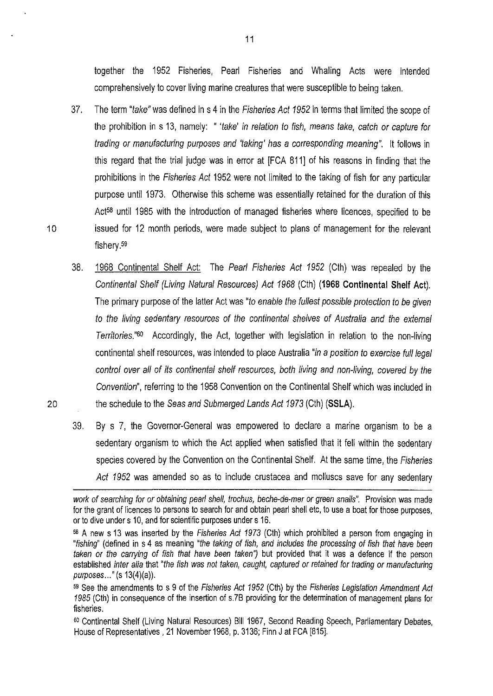together the 1952 Fisheries, Pearl Fisheries and Whaling Acts were intended comprehensively to cover living marine creatures that were susceptible to being taken.

- 37. The term "take" was defined in s 4 in the Fisheries Act 1952 in terms that limited the scope of the prohibition in s 13, namely: " 'take' in relation to fish, means take, catch or capture for trading or manufacturing purposes and 'taking' has a corresponding meaning". It follows in this regard that the trial judge was in error at [FCA 811] of his reasons in finding that the prohibitions in the Fisheries Act 1952 were not limited to the taking of fish for any particular purpose until 1973. Otherwise this scheme was essentially retained for the duration of this Act<sup>58</sup> until 1985 with the introduction of managed fisheries where licences, specified to be 10 issued for 12 month periods, were made subject to plans of management for the relevant fishery.<sup>59</sup>
- 38. 1968 Continental Shelf Act: The Pearl Fisheries Act 1952 (Cth) was repealed by the Continental Shelf (Living Natural Resources) Act 1968 (Cth) **(1968 Continental Shelf Act).**  The primary purpose of the latter Act was "to enable the fullest possible protection to be given to the living sedentary resources of the continental shelves of Australia and the external Territories."<sup>60</sup> Accordingly, the Act, together with legislation in relation to the non-living continental shelf resources, was intended to place Australia "in a position to exercise full legal control over all of its continental shelf resources, both living and non-living, covered by the Convention", referring to the 1958 Convention on the Continental Shelf which was included in 20 the schedule to the Seas and Submerged Lands Act 1973 (Cth) **(SSLA).** 
	- 39. By s 7, the Governor-General was empowered to declare a marine organism to be a sedentary organism to which the Act applied when satisfied that it fell within the sedentary species covered by the Convention on the Continental Shelf. At the same time, the Fisheries Act 1952 was amended so as to include crustacea and molluscs save for any sedentary

work of searching for or obtaining pearl shell, trochus, beche-de-mer or green snails". Provision was made for the grant of licences to persons to search for and obtain pearl shell etc, to use a boat for those purposes, or to dive under s 10, and for scientific purposes under s 16.

<sup>58</sup> A new s 13 was inserted by the Fisheries Act 1973 (Cth) which prohibited a person from engaging in "fishing'' (defined in s 4 as meaning "the taking of fish, and includes the processing of fish that have been taken or the carrying of fish that have been taken') but provided that it was a defence if the person established inter alia that "the fish was not taken, caught, captured or retained for trading or manufacturing purposes..." (s 13(4)(a)).

<sup>59</sup> See the amendments to s 9 of the Fisheries Act 1952 (Cth) by the Fisheries Legislation Amendment Act 1985 (Cth) in consequence of the insertion of s.?B providing for the determination of management plans for fisheries.

so Continental Shelf (Living Natural Resources) Bill 1967, Second Reading Speech, Parliamentary Debates, House of Representatives, 21 November 1968, p. 3136; Finn J at FCA [815].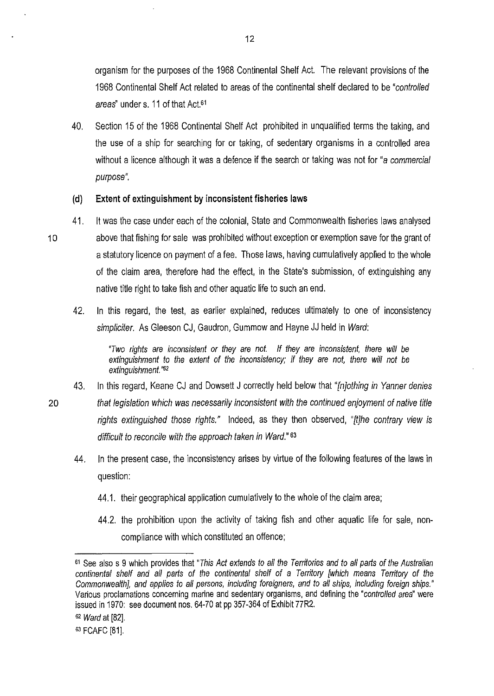organism for the purposes of the 1968 Continental Shelf Act. The relevant provisions of the 1968 Continental Shelf Act related to areas of the continental shelf declared to be "controlled areas" under s. 11 of that Act.<sup>61</sup>

40. Section 15 of the 1968 Continental Shelf Act prohibited in unqualified terms the taking, and the use of a ship for searching for or taking, of sedentary organisms in a controlled area without a licence although it was a defence if the search or taking was not for "a commercial purpose".

### **(d) Extent of extinguishment by inconsistent fisheries laws**

- 41. It was the case under each of the colonial, State and Commonwealth fisheries laws analysed <sup>1</sup>o above that fishing for sale was prohibited without exception or exemption save for the grant of a statutory licence on payment of a fee. Those laws, having cumulatively applied to the whole of the claim area, therefore had the effect, in the State's submission, of extinguishing any native title right to take fish and other aquatic life to such an end.
	- 42. In this regard, the test, as earlier explained, reduces ultimately to one of inconsistency simpliciter. As Gleeson CJ, Gaudron, Gummow and Hayne JJ held in Ward:

"Two rights are inconsistent or they are not. If they are inconsistent, there will be extinguishment to the extent of the inconsistency; if they are not, there will not be extinguishment."<sup>62</sup>

- 43. In this regard, Keane CJ and Dowsett J correctly held below that "*[n]othing in Yanner denies*
- 20 that legislation which was necessarily inconsistent with the continued enjoyment of native title rights extinguished those rights." Indeed, as they then observed, "[t]he contrary view is difficult to reconcile with the approach taken in Ward." <sup>63</sup>
	- 44. In the present case, the inconsistency arises by virtue of the following features of the laws in question:
		- 44.1. their geographical application cumulatively to the whole of the claim area;
		- 44.2. the prohibition upon the activity of taking fish and other aquatic life for sale, noncompliance with which constituted an offence;

<sup>61</sup> See also s 9 which provides that "This Act extends to all the Territories and to all parts of the Australian continental shelf and all parts of the continental shelf of a Territory [which means Territory of the Commonwealth], and applies to all persons, including foreigners, and to all ships, including foreign ships." Various proclamations concerning marine and sedentary organisms, and defining the "controlled area" were issued in 1970: see document nos. 64-70 at pp 357-364 of Exhibit 77R2.

<sup>62</sup> Ward at [82].

<sup>63</sup> FCAFC [81].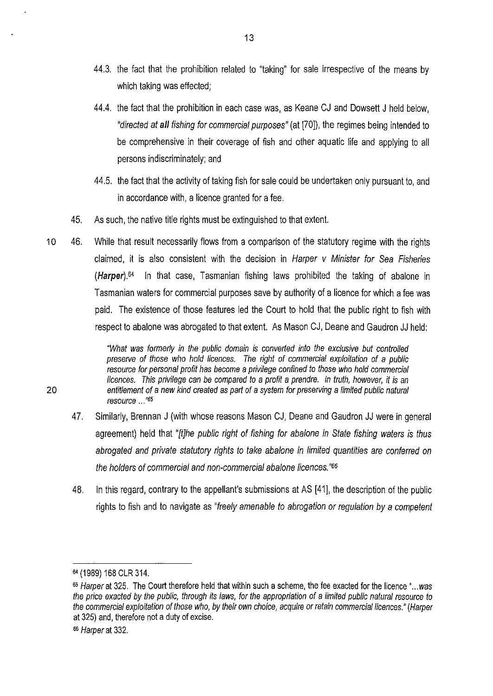- 44.3. the fact that the prohibition related to "taking" for sale irrespective of the means by which taking was effected;
- 44.4. the fact that the prohibition in each case was, as Keane CJ and Dowsett J held below, "directed at **all** fishing for commercial purposes" (at [70]), the regimes being intended to be comprehensive in their coverage of fish and other aquatic life and applying to all persons indiscriminately; and
- 44.5. the fact that the activity of taking fish for sale could be undertaken only pursuant to, and in accordance with, a licence granted for a fee.
- 45. As such, the native title rights must be extinguished to that extent.
- 10 46. While that result necessarily fiows from a comparison of the statutory regime with the rights claimed, it is also consistent with the decision in Harper v Minister for Sea Fisheries **(Harper).64** In that case, Tasmanian fishing laws prohibited the taking of abalone in Tasmanian waters for commercial purposes save by authority of a licence for which a fee was paid. The existence of those features led the Court to hold that the public right to fish with respect to abalone was abrogated to that extent. As Mason CJ, Deane and Gaudron JJ held:

"What was formerly in the public domain is converted into the exclusive but controlled preserve of those who hold licences. The right of commercial exploitation of a public resource for personal profit has become a privilege confined to those who hold commercial licences. This privilege can be compared to a profit a prendre. In truth, however, it is an 20 entitlement of a new kind created as part of a system for preserving a limited public natural resource ... *"65* 

- 47. Similarly, Brennan J (with whose reasons Mason CJ, Deane and Gaudron JJ were in general agreement) held that "[t]he public right of fishing for abalone in State fishing waters is thus abrogated and private statutory rights to take abalone in limited quantities are conferred on the holders of commercial and non-commercial abalone licences. *"66*
- 48. In this regard, contrary to the appellant's submissions at AS [41]. the description of the public rights to fish and to navigate as "freely amenable to abrogation or regulation by a competent

<sup>64</sup>(1989) 168 CLR 314.

<sup>65</sup> Harper at 325. The Court therefore held that within such a scheme, the fee exacted for the licence "...was the price exacted by the public, through its laws, for the appropriation of a limited public natural resource to the commercial exploitation of those who, by their own choice, acquire or retain commercial licences." (Harper at 325) and, therefore not a duty of excise.

<sup>66</sup> Harper at 332.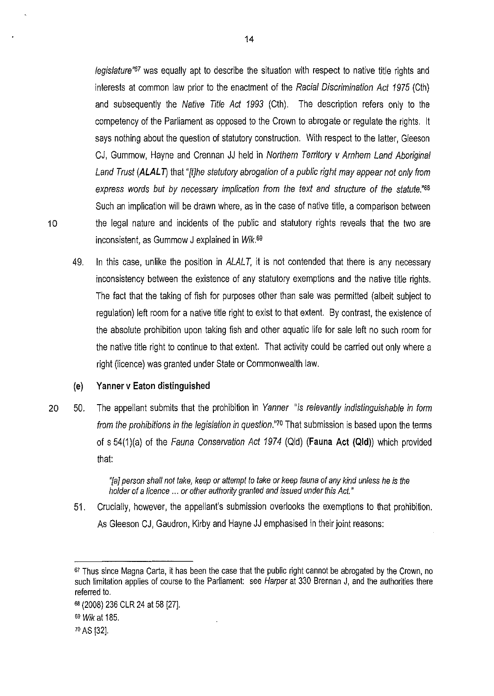legislature<sup>"67</sup> was equally apt to describe the situation with respect to native title rights and interests at common law prior to the enactment of the Racial Discrimination Act 1975 (Cth) and subsequently the Native Title Act 1993 (Cth). The description refers only to the competency of the Parliament as opposed to the Crown to abrogate or regulate the rights. It says nothing about the question of statutory construction. With respect to the latter, Gleeson CJ, Gummow, Hayne and Crennan JJ held in Northern Territory v Arnhem Land Aboriginal Land Trust **(ALALT)** that "*fthe statutory abrogation of a public right may appear not only from* express words but by necessary implication from the text and structure of the statute."68 Such an implication will be drawn where, as in the case of native title, a comparison between 10 the legal nature and incidents of the public and statutory rights reveals that the two are inconsistent, as Gummow J explained in  $Wik$ .<sup>69</sup>

49. In this case, unlike the position in ALALT, it is not contended that there is any necessary inconsistency between the existence of any statutory exemptions and the native title rights. The fact that the taking of fish for purposes other than sale was permitted (albeit subject to regulation) left room for a native title right to exist to that extent. By contrast, the existence of the absolute prohibition upon taking fish and other aquatic life for sale left no such room for the native title right to continue to that extent. That activity could be carried out only where a right (licence) was granted under State or Commonwealth law.

#### **(e) Yanner** *v* **Eaton distinguished**

20 50. The appellant submits that the prohibition in Yanner "is relevantly indistinguishable in form from the prohibitions in the legislation in question."70 That submission is based upon the terms of s 54(1)(a) of the Fauna Conservation Act 1974 (Qid) **(Fauna Act (Qid))** which provided that:

> "[a] person shall not take, keep or attempt to take or keep fauna of any kind unless he is the holder of a licence ... or other authority granted and issued under this Act."

51. Crucially, however, the appellant's submission overlooks the exemptions to that prohibition. As Gleeson CJ, Gaudron, Kirby and Hayne JJ emphasised in their joint reasons:

<sup>67</sup> Thus since Magna Carta, it has been the case that the public right cannot be abrogated by the Crown, no such limitation applies of course to the Parliament: see Harper at 330 Brennan J, and the authorities there referred to.

<sup>68</sup>(2008) 236 CLR 24 at 58 [27].

<sup>69</sup> Wik at 185.

*<sup>1</sup>o* AS [32].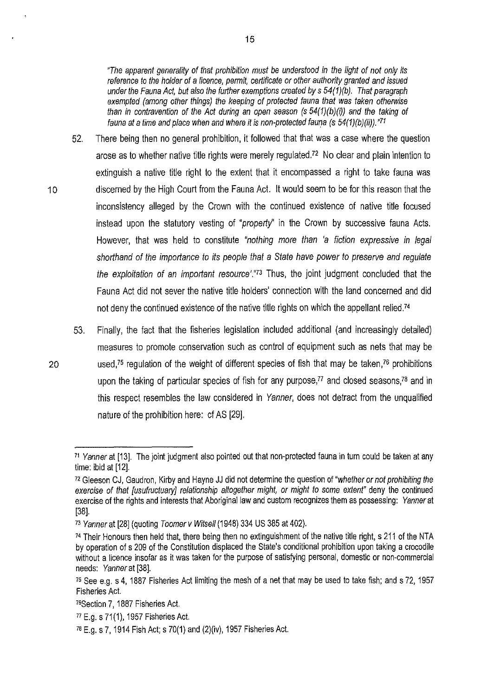"The apparent generality of that prohibition must be understood in the light of not only its reference to the holder of a licence, permit, certificate or other authority granted and issued under the Fauna Act, but also the further exemptions created by  $s$  54(1)(b). That paragraph exempted (among other things) the keeping of protected fauna that was taken otherwise than in contravention of the Act during an open season (s  $54(1)(b)(i)$ ) and the taking of fauna at a time and place when and where *it* is non-protected fauna (s 54(1)(b){ii)). *"71* 

- 52. There being then no general prohibition, it followed that that was a case where the question arose as to whether native title rights were merely regulated.<sup>72</sup> No clear and plain intention to extinguish a native title right to the extent that it encompassed a right to take fauna was 10 discerned by the High Court from the Fauna Act. It would seem to be for this reason that the inconsistency alleged by the Crown with the continued existence of native title focused instead upon the statutory vesting of "property" in the Crown by successive fauna Acts. However, that was held to constitute "nothing more than 'a fiction expressive in legal shorthand of the importance to its people that a State have power to preserve and regulate the exploitation of an important resource'."73 Thus, the joint judgment concluded that the Fauna Act did not sever the native title holders' connection with the land concerned and did not deny the continued existence of the native title rights on which the appellant relied.<sup>74</sup>
- 53. Finally, the fact that the fisheries legislation included additional (and increasingly detailed) measures to promote conservation such as control of equipment such as nets that may be 20 used,75 regulation of the weight of different species of fish that may be taken,76 prohibitions upon the taking of particular species of fish for any purpose, $77$  and closed seasons, $78$  and in this respect resembles the law considered in Yanner, does not detract from the unqualified nature of the prohibition here: cf AS [29].

<sup>&</sup>lt;sup>71</sup> Yanner at [13]. The joint judgment also pointed out that non-protected fauna in turn could be taken at any time: ibid at [12].

<sup>72</sup> Gleeson CJ, Gaudron, Kirby and Hayne JJ did not determine the question of "whether or not prohibiting the exercise of that [usufructuary] relationship altogether might, or might to some extent" deny the continued exercise of the rights and interests that Aboriginal law and custom recognizes them as possessing: Yanner at [38].

<sup>&</sup>lt;sup>73</sup> Yanner at [28] (quoting Toomer v Witsell (1948) 334 US 385 at 402).

<sup>74</sup> Their Honours then held that, there being then no extinguishment of the native title right, s 211 of the NTA by operation of s 209 of the Constitution displaced the State's conditional prohibition upon taking a crocodile without a licence insofar as it was taken for the purpose of satisfying personal, domestic or non-commercial needs: Yanner at [38].

<sup>75</sup>See e.g. s 4, 1887 Fisheries Act limiting the mesh of a net that may be used to take fish; and s 72, 1957 Fisheries Act.

<sup>7</sup>BSection 7, 1887 Fisheries Act.

<sup>&</sup>quot;E.g. s 71(1), 1957 Fisheries Act.

*<sup>1</sup>a* E.g. s 7, 1914 Fish Act; s 70(1) and (2)(iv), 1957 Fisheries Act.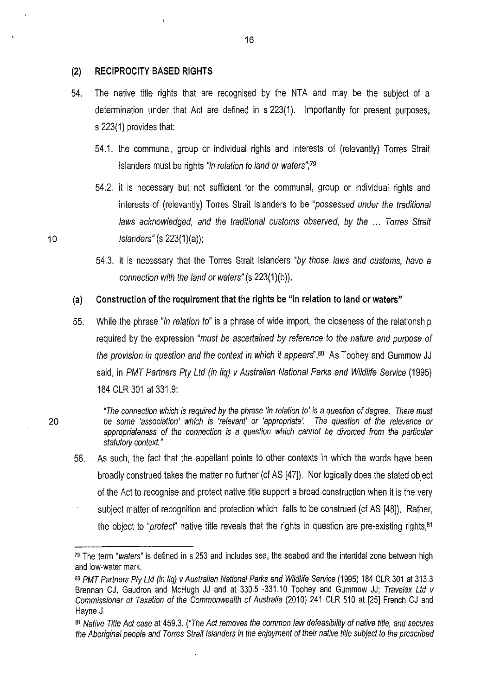#### **(2) RECIPROCITY BASED RIGHTS**

- 54. The native title rights that are recognised by the NTA and may be the subject of a determination under that Act are defined in s 223(1). Importantly for present purposes, s 223(1) provides that:
	- 54.1. the communal, group or individual rights and interests of (relevantly) Torres Strait Islanders must be rights "in relation to land or waters";79
- 54.2. it is necessary but not sufficient for the communal, group or individual rights and interests of (relevantly) Torres Strait Islanders to be "possessed under the traditional laws acknowledged, and the traditional customs observed, by the ... Torres Strait 10 *Islanders*" (s 223(1)(a));
	- 54.3. it is necessary that the Torres Strait Islanders "by those laws and customs, have a connection with the land or waters" (s 223(1)(b)).

#### (a) **Construction of the requirement that the rights** be "in **relation to land or waters"**

55. While the phrase "in relation to" is a phrase of wide import, the closeness of the relationship required by the expression "must be ascertained by reference to the nature and purpose of the provision in question and the context in which it appears".<sup>80</sup> As Toohey and Gummow JJ said, in PMT Partners Pty Ltd (in liq) v Australian National Parks and Wildlife Service (1995) 184 CLR 301 at 331.9:

"The connection which is required by the phrase 'in relation to' is a question of degree. There must 20 be some 'association' which is 'relevant' or 'appropriate'. The question of the relevance or appropriateness of the connection is a question which cannot be divorced from the particular statutory context."

56. As such, the fact that the appellant points to other contexts in which the words have been broadly construed takes the matter no further (cf AS [47]). Nor logically does the stated object of the Act to recognise and protect native title support a broad construction when it is the very subject matter of recognition and protection which falls to be construed (cf AS [48]). Rather, the object to "profect" native title reveals that the rights in question are pre-existing rights,<sup>81</sup>

<sup>79</sup> The term "waters" is defined in s 253 and includes sea, the seabed and the intertidal zone between high and low-water mark.

<sup>80</sup> PMT Partners Pty Ltd (in liq) v Australian National Parks and Wildlife Service (1995) 184 CLR 301 at 313.3 Brennan CJ, Gaudron and McHugh JJ and at 330.5 -331.10 Toohey and Gummow JJ; Travelex Ltd v Commissioner of Taxation of the Commonwealth of Australia (2010) 241 CLR 510 at [25] French CJ and Hayne J.

<sup>81</sup> Native Title Act case at 459.3. ("The Act removes the common law defeasibility of native title, and secures the Aboriginal people and Torres Strait Islanders in the enjoyment of their native title subject to the prescribed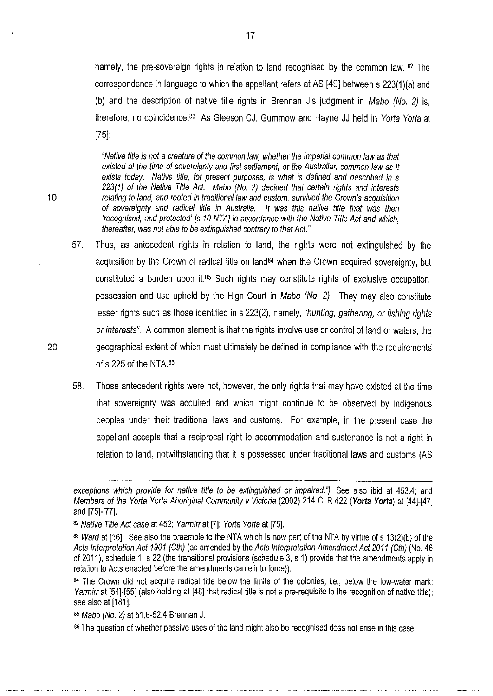namely, the pre-sovereign rights in relation to land recognised by the common law. <sup>82</sup> The correspondence in language to which the appellant refers at AS [49] between s 223(1)(a) and (b) and the description of native title rights in Brennan J's judgment in Mabo (No. 2) is, therefore, no coincidence.<sup>83</sup> As Gleeson CJ, Gummow and Hayne JJ held in Yorta Yorta at [75]:

"Native title is not a creature of the common law, whether the Imperial common law as that existed at the time of sovereignty and first settlement, or the Australian common law as it exists today. Native title, for present purposes, is what is defined and described in s 223(1) of the Native Title Act. Mabo (No. 2) decided that certain rights and interests 1 0 relating to land, and rooted in traditional law and custom, survived the Crown's acquisition of sovereignty and radical title in Australia. It was this native title that was then 'recognised, and protected' [s 10 NTA] in accordance with the Native Title Act and which, thereafter, was not able to be extinguished contrary to that Act."

- 57. Thus, as antecedent rights in relation to land, the rights were not extinguished by the acquisition by the Crown of radical title on land<sup>84</sup> when the Crown acquired sovereignty, but constituted a burden upon it.85 Such rights may constitute rights of exclusive occupation, possession and use upheld by the High Court in Mabo (No. 2). They may also constitute lesser rights such as those identified in s 223(2), namely, "hunting, gathering, or fishing rights or interests". A common element is that the rights involve use or control of land or waters, the 20 geographical extent of which must ultimately be defined in compliance with the requirements of s  $225$  of the NTA. $86$ 
	- 58. Those antecedent rights were not, however, the only rights that may have existed at the time that sovereignty was acquired and which might continue to be observed by indigenous peoples under their traditional laws and customs. For example, in the present case the appellant accepts that a reciprocal right to accommodation and sustenance is not a right in relation to land, notwithstanding that it is possessed under traditional laws and customs (AS

exceptions which provide for native title to be extinguished or impaired."). See also ibid at 453.4; and Members of the Yorla Yorla Aboriginal Community v Victoria (2002) 214 CLR 422 **(Yorta Yorta)** at [44]-[47] and [75]-[77].

<sup>82</sup> Native Title Act case at 452; Yarmirr at [7]; Yorta Yorta at [75].

<sup>83</sup> Ward at [16]. See also the preamble to the NTA which is now part of the NTA by virtue of s 13(2)(b) of the Acts Interpretation Act 1901 (Cth) (as amended by the Acts Interpretation Amendment Act 2011 (Cth) (No. 46 of 2011), schedule 1, s 22 (the transitional provisions (schedule 3, s 1) provide that the amendments apply in relation to Acts enacted before the amendments came into force)).

<sup>84</sup> The Crown did not acquire radical title below the limits of the colonies, i.e., below the low-water mark: Yarmirr at [54]-[55] (also holding at [48] that radical title is not a pre-requisite to the recognition of native title); see also at [181].

<sup>85</sup> Mabo (No. 2) at 51.6-52.4 Brennan J.

<sup>86</sup> The question of whether passive uses of the land might also be recognised does not arise in this case.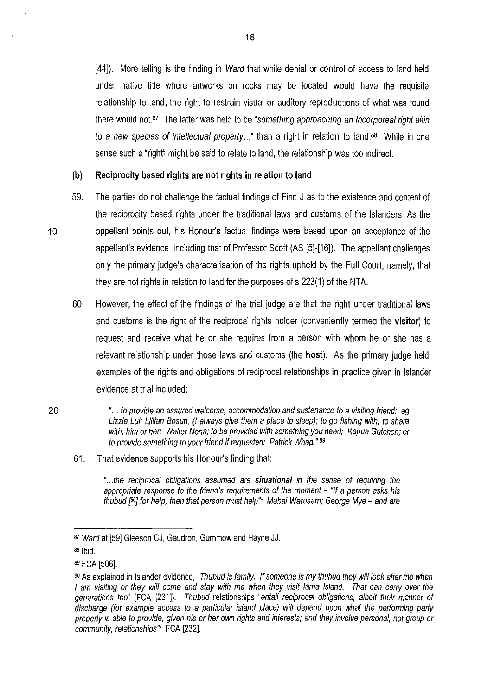[44]). More telling is the finding in *Ward* that while denial or control of access to land held under native title where artworks on rocks may be located would have the requisite relationship to land, the right to restrain visual or auditory reproductions of what was found there would not. $87$  The latter was held to be "something approaching an incorporeal right akin to a new species of intellectual property..." than a right in relation to land.<sup>88</sup> While in one sense such a "right'! might be said to relate to land, the relationship was too indirect.

#### **(b) Reciprocity based rights are not rights in relation to land**

- 59. The parties do not challenge the factual findings of Finn J as to the existence and content of the reciprocity based rights under the traditional laws and customs of the Islanders. As the 10 appellant points out, his Honour's factual findings were based upon an acceptance of the appellant's evidence, including that of Professor Scott (AS [5]-[16]). The appellant challenges only the primary judge's characterisation of the rights upheld by the Full Court, namely, that they are not rights in relation to land for the purposes of s 223(1) of the NTA.
	- 60. However, the effect of the findings of the trial judge are that the right under tradil'lonallaws and customs is the right of the reciprocal rights holder (conveniently termed the **visitor)** to request and receive what he or she requires from a person with whom he or she has a relevant relationship under those laws and customs (the **host).** As the primary judge held, examples of the rights and obligations of reciprocal relationships in practice given in Islander evidence at trial included:

20 " ... to provide an assured welcome, accommodation and sustenance to a visiting friend: eg Lizzie Lui; Lillian Bosun, (I always give them a place to sleep); to go fishing with, to share with, him or her: Walter Nona; to be provided with something you need: Kapua Gutchen; or to provide something to your friend if requested: Patrick Whap." 89

#### 61. That evidence supports his Honour's finding that:

" ... the reciprocal obligations assumed are **situational** in the sense of requiring the appropriate response to the friend's requirements of the moment - "If a person asks his thubud  $[80]$  for help, then that person must help": Mebai Warusam; George Mye - and are

<sup>87</sup> Ward at [59] Gleeson CJ, Gaudron, Gummow and Hayne JJ.

<sup>88</sup> 1bid.

<sup>89</sup>FCA [506].

<sup>90</sup> As explained in Islander evidence, "Thubud is family. If someone is my thubud they will look after me when I am visiting or they will come and stay with me when they visit lama Island. That can carry over the generations too" (FCA [231]). Thubud relationships "entail reciprocal obligations, albeit their manner of discharge (for example access to a particular island place) will depend upon what the performing party properly is able to provide, given his or her own rights and interests; and they involve personal, not group or community, relationships": FCA [232].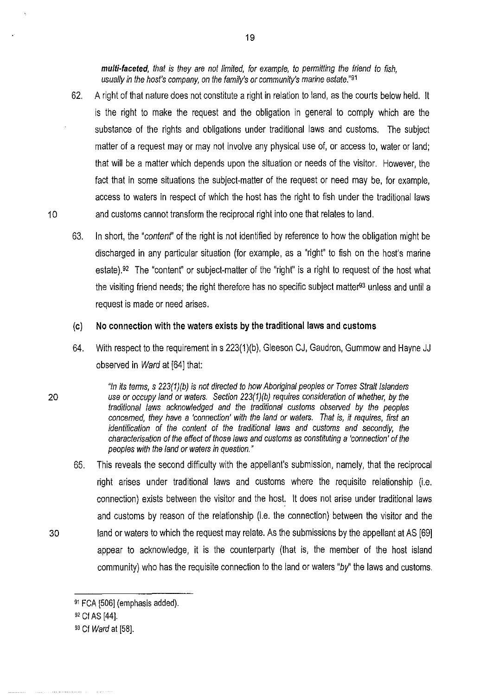**multi-faceted,** that is they are not limited, for example, to permitting the friend to fish, usually in the host's company, on the family's or community's marine estate."91

- 62. A right of that nature does not constitute a right in relation to land, as the courts below held. It is the right to make the request and the obligation in general to comply which are the substance of the rights and obligations under traditional laws and customs. The subject matter of a request may or may not involve any physical use of, or access to, water or land; that **will** be a matter which depends upon the situation or needs of the visitor. However, the fact that in some situations the subject-matter of the request or need may be, for example, access to waters in respect of which the host has the right to fish under the traditional laws 10 and customs cannot transform the reciprocal right into one that relates to land.
	- 63. In short, the "contenr' of the right is not identified by reference to how the obligation might be discharged **in** any particular situation (for example, as a "right" to fish on the host's marine estate).92 The "content" or subject-matter of the "right" is a right to request of the host what the visiting friend needs; the right therefore has no specific subject matter<sup>93</sup> unless and until a request is made or need arises.

#### **(c) No connection with the waters exists by the traditional laws and customs**

64. With respect to the requirement in s 223(1)(b), Gleeson CJ, Gaudron, Gummow and Hayne JJ observed **in** Ward at [64] that:

"In its terms, s 223(1)(b) is not directed to how Aboriginal peoples or Torres Strait Islanders 20 use or occupy land or waters. Section 223(1)(b) requires consideration of whether, by the traditional laws acknowledged and the traditional customs observed by the peoples concerned, they have a 'connection' with the land or waters. That is, it requires, first an identification of the content of the traditional laws and customs and secondly, the characterisation of the effect of those laws and customs as constituting a 'connection' of the peoples with the land or waters in question."

65. This reveals the second difficulty with the appellant's submission, namely, that the reciprocal right arises under traditional laws and customs where the requisite relationship (i.e. connection) exists between the visitor and the host. It does not arise under traditional laws and customs by reason of the relationship (i.e. the connection) between the visitor and the 30 land or waters to which the request may relate. As the submissions by the appellant at AS [69] appear to acknowledge, it is the counterparty (that is, the member of the host island community) who has the requisite connection to the land or waters "by" the laws and customs.

<sup>91</sup>FCA [506] (emphasis added).

<sup>92</sup>Cf AS [44].

<sup>93</sup> Cf Ward at [58].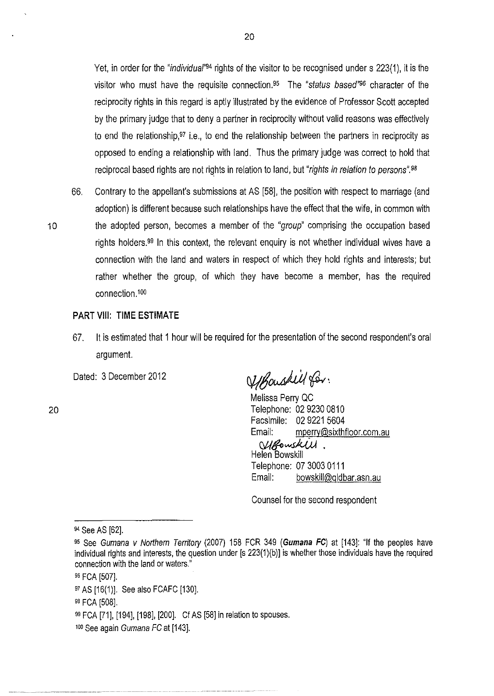Yet, in order for the "*individual*"<sup>94</sup> rights of the visitor to be recognised under s 223(1), it is the visitor who must have the requisite connection.<sup>95</sup> The "status based"<sup>96</sup> character of the reciprocity rights in this regard is aptly illustrated by the evidence of Professor Scott accepted by the primary judge that to deny a partner in reciprocity without valid reasons was effectively to end the relationship,<sup>97</sup> i.e., to end the relationship between the partners in reciprocity as opposed to ending a relationship with land. Thus the primary judge was correct to hold that reciprocal based rights are not rights in relation to land, but "rights in relation to persons".<sup>98</sup>

66. Contrary to the appellant's submissions at AS [58]. the position with respect to marriage (and adoption) is different because such relationships have the effect that the wife, in common with 10 the adopted person, becomes a member of the "group" comprising the occupation based rights holders.99 In this context, the relevant enquiry is not whether individual wives have a connection with the land and waters in respect of which they hold rights and interests; but rather whether the group, of which they have become a member, has the required connection .100

#### **PART** VIII: **TIME ESTIMATE**

67. It is estimated that 1 hour will be required for the presentation of the second respondent's oral argument.

Dated: 3 December 2012

20

Ufbouskill for.

Melissa Perry QC Telephone: 02 9230 0810 Facsimile: 02 9221 5604 Email: mperry@sixthfloor.com.au

MBowskW. Helen Bowskill Telephone: 07 3003 0111 Email: bowskill@qldbar.asn.au

Counsel for the second respondent

<sup>94</sup> See AS [62].

<sup>9</sup>s See Gumana v Northern Territory (2007) 158 FCR 349 **(Gumana FC)** at [143]: "If the peoples have individual rights and interests, the question under [s 223(1)(b)] is whether those individuals have the required connection with the land or waters."

<sup>96</sup> FCA [507].

<sup>97</sup>AS [16(1)]. See also FCAFC [130].

<sup>98</sup>FCA [508].

<sup>99</sup>FCA [71], [194], [198]. [200]. Cf AS [58] in relation to spouses.

<sup>100</sup> See again Gumana FC at [143].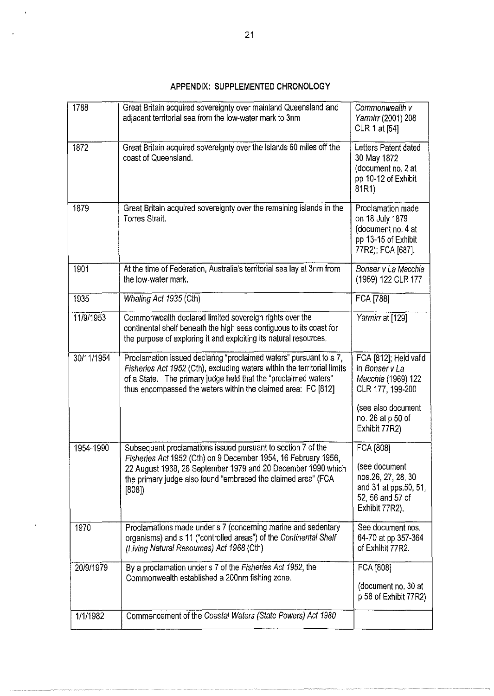# **APPENDIX: SUPPLEMENTED CHRONOLOGY**

| 1788       | Great Britain acquired sovereignty over mainland Queensland and<br>adjacent territorial sea from the low-water mark to 3nm                                                                                                                                                         | Commonwealth v<br>Yarmirr (2001) 208<br>CLR 1 at [54]                                                                                         |
|------------|------------------------------------------------------------------------------------------------------------------------------------------------------------------------------------------------------------------------------------------------------------------------------------|-----------------------------------------------------------------------------------------------------------------------------------------------|
| 1872       | Great Britain acquired sovereignty over the islands 60 miles off the<br>coast of Queensland.                                                                                                                                                                                       | Letters Patent dated<br>30 May 1872<br>(document no. 2 at<br>pp 10-12 of Exhibit<br>81R1)                                                     |
| 1879       | Great Britain acquired sovereignty over the remaining islands in the<br><b>Torres Strait</b>                                                                                                                                                                                       | Proclamation made<br>on 18 July 1879<br>(document no, 4 at<br>pp 13-15 of Exhibit<br>77R2); FCA [687].                                        |
| 1901       | At the time of Federation, Australia's territorial sea lay at 3nm from<br>the low-water mark                                                                                                                                                                                       | Bonser v La Macchia<br>(1969) 122 CLR 177                                                                                                     |
| 1935       | Whaling Act 1935 (Cth)                                                                                                                                                                                                                                                             | FCA [788]                                                                                                                                     |
| 11/9/1953  | Commonwealth declared limited sovereign rights over the<br>continental shelf beneath the high seas contiguous to its coast for<br>the purpose of exploring it and exploiting its natural resources.                                                                                | Yarmirr at [129]                                                                                                                              |
| 30/11/1954 | Proclamation issued declaring "proclaimed waters" pursuant to s 7,<br>Fisheries Act 1952 (Cth), excluding waters within the territorial limits<br>of a State. The primary judge held that the "proclaimed waters"<br>thus encompassed the waters within the claimed area: FC [812] | FCA [812]; Held valid<br>in Bonser v La<br>Macchia (1969) 122<br>CLR 177, 199-200<br>(see also document<br>no. 26 at p 50 of<br>Exhibit 77R2) |
| 1954-1990  | Subsequent proclamations issued pursuant to section 7 of the<br>Fisheries Act 1952 (Cth) on 9 December 1954, 16 February 1956,<br>22 August 1968, 26 September 1979 and 20 December 1990 which<br>the primary judge also found "embraced the claimed area" (FCA<br>[808]           | FCA [808]<br>(see document<br>nos.26, 27, 28, 30<br>and 31 at pps.50, 51,<br>52, 56 and 57 of<br>Exhibit 77R2).                               |
| 1970       | Proclamations made under s 7 (concerning marine and sedentary<br>organisms) and s 11 ("controlled areas") of the Continental Shelf<br>(Living Natural Resources) Act 1968 (Cth)                                                                                                    | See document nos.<br>64-70 at pp 357-364<br>of Exhibit 77R2.                                                                                  |
| 20/9/1979  | By a proclamation under s 7 of the Fisheries Act 1952, the<br>Commonwealth established a 200nm fishing zone.                                                                                                                                                                       | FCA [808]<br>(document no. 30 at<br>p 56 of Exhibit 77R2)                                                                                     |
| 1/1/1982   | Commencement of the Coastal Waters (State Powers) Act 1980                                                                                                                                                                                                                         |                                                                                                                                               |

 $\ddot{\phantom{0}}$ 

ï